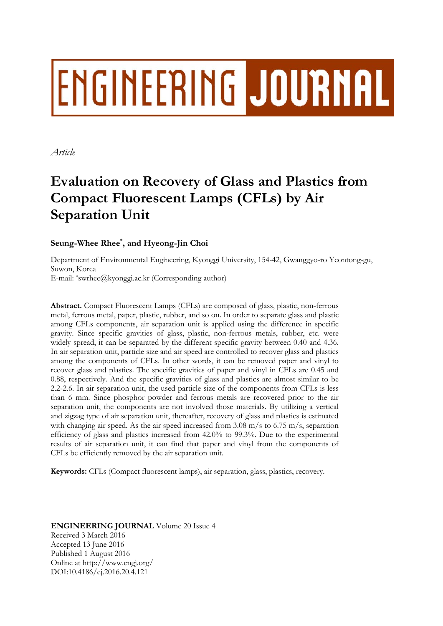# ENGINEERING JOURNAL

*Article* 

## **Evaluation on Recovery of Glass and Plastics from Compact Fluorescent Lamps (CFLs) by Air Separation Unit**

### **Seung-Whee Rhee\* , and Hyeong-Jin Choi**

Department of Environmental Engineering, Kyonggi University, 154-42, Gwanggyo-ro Yeontong-gu, Suwon, Korea E-mail: \*swrhee@kyonggi.ac.kr (Corresponding author)

**Abstract.** Compact Fluorescent Lamps (CFLs) are composed of glass, plastic, non-ferrous metal, ferrous metal, paper, plastic, rubber, and so on. In order to separate glass and plastic among CFLs components, air separation unit is applied using the difference in specific gravity. Since specific gravities of glass, plastic, non-ferrous metals, rubber, etc. were widely spread, it can be separated by the different specific gravity between 0.40 and 4.36. In air separation unit, particle size and air speed are controlled to recover glass and plastics among the components of CFLs. In other words, it can be removed paper and vinyl to recover glass and plastics. The specific gravities of paper and vinyl in CFLs are 0.45 and 0.88, respectively. And the specific gravities of glass and plastics are almost similar to be 2.2-2.6. In air separation unit, the used particle size of the components from CFLs is less than 6 mm. Since phosphor powder and ferrous metals are recovered prior to the air separation unit, the components are not involved those materials. By utilizing a vertical and zigzag type of air separation unit, thereafter, recovery of glass and plastics is estimated with changing air speed. As the air speed increased from  $3.08 \text{ m/s}$  to  $6.75 \text{ m/s}$ , separation efficiency of glass and plastics increased from 42.0% to 99.3%. Due to the experimental results of air separation unit, it can find that paper and vinyl from the components of CFLs be efficiently removed by the air separation unit.

**Keywords:** CFLs (Compact fluorescent lamps), air separation, glass, plastics, recovery.

**ENGINEERING JOURNAL** Volume 20 Issue 4 Received 3 March 2016 Accepted 13 June 2016 Published 1 August 2016 Online at http://www.engj.org/ DOI:10.4186/ej.2016.20.4.121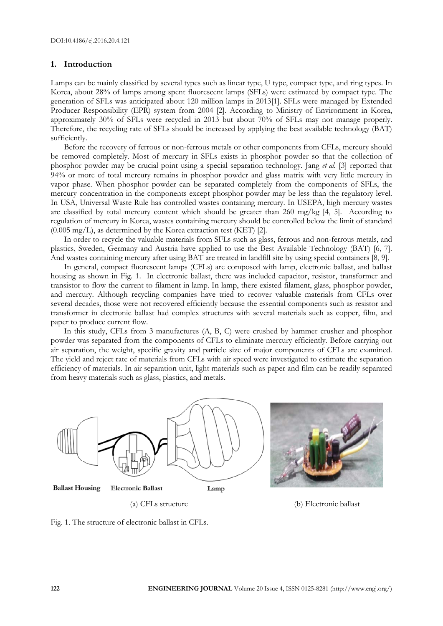#### **1. Introduction**

Lamps can be mainly classified by several types such as linear type, U type, compact type, and ring types. In Korea, about 28% of lamps among spent fluorescent lamps (SFLs) were estimated by compact type. The generation of SFLs was anticipated about 120 million lamps in 2013[1]. SFLs were managed by Extended Producer Responsibility (EPR) system from 2004 [2]. According to Ministry of Environment in Korea, approximately 30% of SFLs were recycled in 2013 but about 70% of SFLs may not manage properly. Therefore, the recycling rate of SFLs should be increased by applying the best available technology (BAT) sufficiently.

Before the recovery of ferrous or non-ferrous metals or other components from CFLs, mercury should be removed completely. Most of mercury in SFLs exists in phosphor powder so that the collection of phosphor powder may be crucial point using a special separation technology. Jang *et al.* [3] reported that 94% or more of total mercury remains in phosphor powder and glass matrix with very little mercury in vapor phase. When phosphor powder can be separated completely from the components of SFLs, the mercury concentration in the components except phosphor powder may be less than the regulatory level. In USA, Universal Waste Rule has controlled wastes containing mercury. In USEPA, high mercury wastes are classified by total mercury content which should be greater than  $260 \text{ mg/kg}$  [4, 5]. According to regulation of mercury in Korea, wastes containing mercury should be controlled below the limit of standard (0.005 mg/L), as determined by the Korea extraction test (KET) [2].

In order to recycle the valuable materials from SFLs such as glass, ferrous and non-ferrous metals, and plastics, Sweden, Germany and Austria have applied to use the Best Available Technology (BAT) [6, 7]. And wastes containing mercury after using BAT are treated in landfill site by using special containers [8, 9].

In general, compact fluorescent lamps (CFLs) are composed with lamp, electronic ballast, and ballast housing as shown in Fig. 1. In electronic ballast, there was included capacitor, resistor, transformer and transistor to flow the current to filament in lamp. In lamp, there existed filament, glass, phosphor powder, and mercury. Although recycling companies have tried to recover valuable materials from CFLs over several decades, those were not recovered efficiently because the essential components such as resistor and transformer in electronic ballast had complex structures with several materials such as copper, film, and paper to produce current flow.

In this study, CFLs from 3 manufactures (A, B, C) were crushed by hammer crusher and phosphor powder was separated from the components of CFLs to eliminate mercury efficiently. Before carrying out air separation, the weight, specific gravity and particle size of major components of CFLs are examined. The yield and reject rate of materials from CFLs with air speed were investigated to estimate the separation efficiency of materials. In air separation unit, light materials such as paper and film can be readily separated from heavy materials such as glass, plastics, and metals.



(a) CFLs structure (b) Electronic ballast

Fig. 1. The structure of electronic ballast in CFLs.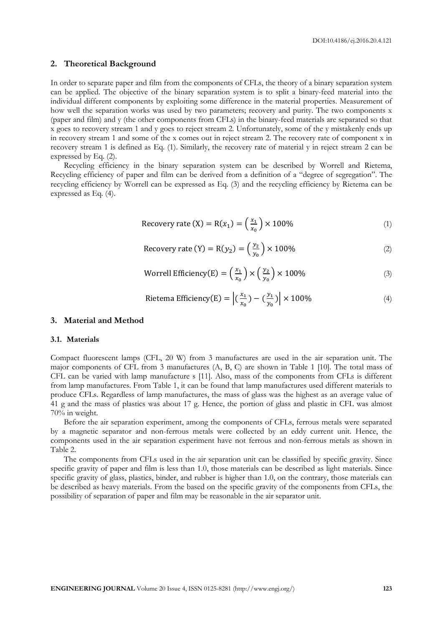#### **2. Theoretical Background**

In order to separate paper and film from the components of CFLs, the theory of a binary separation system can be applied. The objective of the binary separation system is to split a binary-feed material into the individual different components by exploiting some difference in the material properties. Measurement of how well the separation works was used by two parameters; recovery and purity. The two components x (paper and film) and y (the other components from CFLs) in the binary-feed materials are separated so that x goes to recovery stream 1 and y goes to reject stream 2. Unfortunately, some of the y mistakenly ends up in recovery stream 1 and some of the x comes out in reject stream 2. The recovery rate of component x in recovery stream 1 is defined as Eq. (1). Similarly, the recovery rate of material y in reject stream 2 can be expressed by Eq. (2).

Recycling efficiency in the binary separation system can be described by Worrell and Rietema, Recycling efficiency of paper and film can be derived from a definition of a "degree of segregation". The recycling efficiency by Worrell can be expressed as Eq. (3) and the recycling efficiency by Rietema can be expressed as Eq. (4).

$$
Recovery rate (X) = R(x1) = \left(\frac{x_1}{x_0}\right) \times 100\%
$$
\n(1)

$$
Recovery rate (Y) = R(y2) = \left(\frac{y_2}{y_0}\right) \times 100\%
$$
 (2)

$$
\text{Worrell Efficiency}(E) = \left(\frac{x_1}{x_0}\right) \times \left(\frac{y_2}{y_0}\right) \times 100\% \tag{3}
$$

Rietema Efficiency(E) = 
$$
\left| \left( \frac{x_1}{x_0} \right) - \left( \frac{y_1}{y_0} \right) \right| \times 100\%
$$
 (4)

#### **3. Material and Method**

#### **3.1. Materials**

Compact fluorescent lamps (CFL, 20 W) from 3 manufactures are used in the air separation unit. The major components of CFL from 3 manufactures (A, B, C) are shown in Table 1 [10]. The total mass of CFL can be varied with lamp manufacture s [11]. Also, mass of the components from CFLs is different from lamp manufactures. From Table 1, it can be found that lamp manufactures used different materials to produce CFLs. Regardless of lamp manufactures, the mass of glass was the highest as an average value of 41 g and the mass of plastics was about 17 g. Hence, the portion of glass and plastic in CFL was almost 70% in weight.

Before the air separation experiment, among the components of CFLs, ferrous metals were separated by a magnetic separator and non-ferrous metals were collected by an eddy current unit. Hence, the components used in the air separation experiment have not ferrous and non-ferrous metals as shown in Table 2.

The components from CFLs used in the air separation unit can be classified by specific gravity. Since specific gravity of paper and film is less than 1.0, those materials can be described as light materials. Since specific gravity of glass, plastics, binder, and rubber is higher than 1.0, on the contrary, those materials can be described as heavy materials. From the based on the specific gravity of the components from CFLs, the possibility of separation of paper and film may be reasonable in the air separator unit.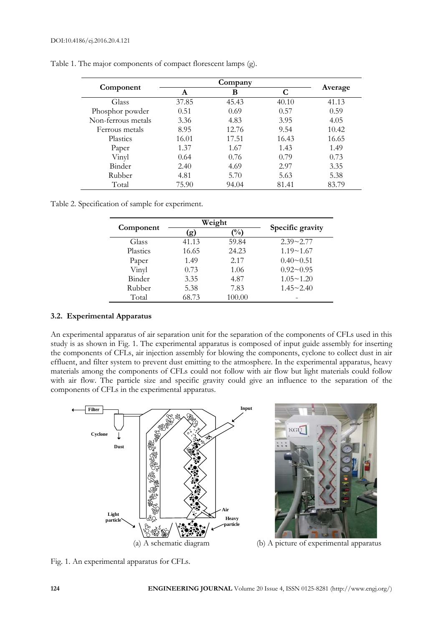| Component          |       |       |       |         |
|--------------------|-------|-------|-------|---------|
|                    | A     | В     | C     | Average |
| Glass              | 37.85 | 45.43 | 40.10 | 41.13   |
| Phosphor powder    | 0.51  | 0.69  | 0.57  | 0.59    |
| Non-ferrous metals | 3.36  | 4.83  | 3.95  | 4.05    |
| Ferrous metals     | 8.95  | 12.76 | 9.54  | 10.42   |
| Plastics           | 16.01 | 17.51 | 16.43 | 16.65   |
| Paper              | 1.37  | 1.67  | 1.43  | 1.49    |
| Vinyl              | 0.64  | 0.76  | 0.79  | 0.73    |
| Binder             | 2.40  | 4.69  | 2.97  | 3.35    |
| Rubber             | 4.81  | 5.70  | 5.63  | 5.38    |
| Total              | 75.90 | 94.04 | 81.41 | 83.79   |

Table 1. The major components of compact florescent lamps (g).

Table 2. Specification of sample for experiment.

| Component |       | Weight        |                  |  |
|-----------|-------|---------------|------------------|--|
|           | (ջ)   | $\frac{1}{2}$ | Specific gravity |  |
| Glass     | 41.13 | 59.84         | $2.39 - 2.77$    |  |
| Plastics  | 16.65 | 24.23         | $1.19 - 1.67$    |  |
| Paper     | 1.49  | 2.17          | $0.40 \sim 0.51$ |  |
| Vinyl     | 0.73  | 1.06          | $0.92 - 0.95$    |  |
| Binder    | 3.35  | 4.87          | $1.05 \sim 1.20$ |  |
| Rubber    | 5.38  | 7.83          | $1.45 \sim 2.40$ |  |
| Total     | 68.73 | 100.00        |                  |  |

#### **3.2. Experimental Apparatus**

An experimental apparatus of air separation unit for the separation of the components of CFLs used in this study is as shown in Fig. 1. The experimental apparatus is composed of input guide assembly for inserting the components of CFLs, air injection assembly for blowing the components, cyclone to collect dust in air effluent, and filter system to prevent dust emitting to the atmosphere. In the experimental apparatus, heavy materials among the components of CFLs could not follow with air flow but light materials could follow with air flow. The particle size and specific gravity could give an influence to the separation of the components of CFLs in the experimental apparatus.





Fig. 1. An experimental apparatus for CFLs.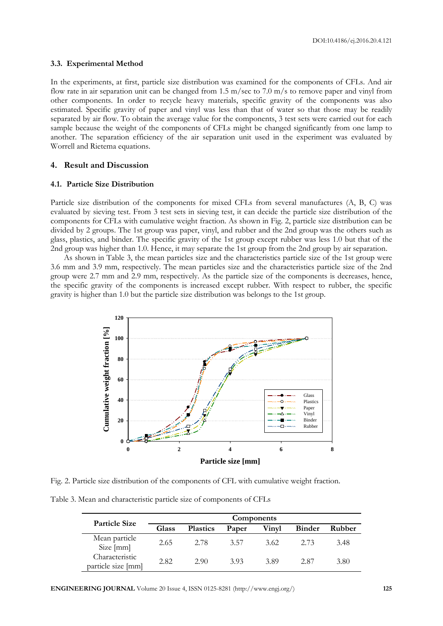#### **3.3. Experimental Method**

In the experiments, at first, particle size distribution was examined for the components of CFLs. And air flow rate in air separation unit can be changed from 1.5 m/sec to 7.0 m/s to remove paper and vinyl from other components. In order to recycle heavy materials, specific gravity of the components was also estimated. Specific gravity of paper and vinyl was less than that of water so that those may be readily separated by air flow. To obtain the average value for the components, 3 test sets were carried out for each sample because the weight of the components of CFLs might be changed significantly from one lamp to another. The separation efficiency of the air separation unit used in the experiment was evaluated by Worrell and Rietema equations.

#### **4. Result and Discussion**

#### **4.1. Particle Size Distribution**

Particle size distribution of the components for mixed CFLs from several manufactures (A, B, C) was evaluated by sieving test. From 3 test sets in sieving test, it can decide the particle size distribution of the components for CFLs with cumulative weight fraction. As shown in Fig. 2, particle size distribution can be divided by 2 groups. The 1st group was paper, vinyl, and rubber and the 2nd group was the others such as glass, plastics, and binder. The specific gravity of the 1st group except rubber was less 1.0 but that of the 2nd group was higher than 1.0. Hence, it may separate the 1st group from the 2nd group by air separation.

As shown in Table 3, the mean particles size and the characteristics particle size of the 1st group were 3.6 mm and 3.9 mm, respectively. The mean particles size and the characteristics particle size of the 2nd group were 2.7 mm and 2.9 mm, respectively. As the particle size of the components is decreases, hence, the specific gravity of the components is increased except rubber. With respect to rubber, the specific gravity is higher than 1.0 but the particle size distribution was belongs to the 1st group.



Fig. 2. Particle size distribution of the components of CFL with cumulative weight fraction.

Table 3. Mean and characteristic particle size of components of CFLs

| <b>Particle Size</b>                 | Components |                 |       |       |               |        |
|--------------------------------------|------------|-----------------|-------|-------|---------------|--------|
|                                      | Glass      | <b>Plastics</b> | Paper | Vinvl | <b>Binder</b> | Rubber |
| Mean particle<br>Size [mm]           | 2.65       | 2.78            | 3.57  | 3.62  | 2.73          | 3.48   |
| Characteristic<br>particle size [mm] | 2.82       | 2.90            | 3.93  | 3.89  | 2.87          | 3.80   |

**ENGINEERING JOURNAL** Volume 20 Issue 4, ISSN 0125-8281 (http://www.engj.org/) **125**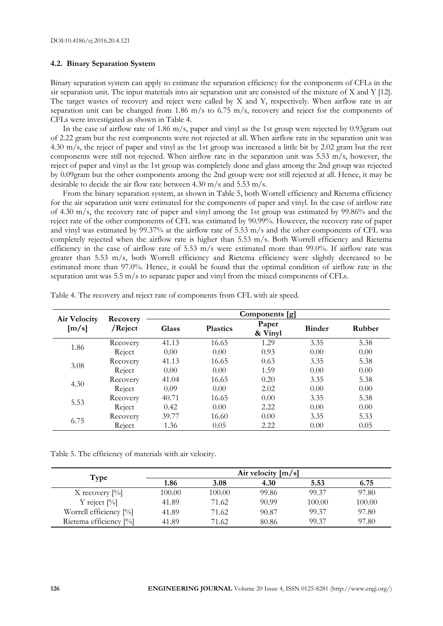#### **4.2. Binary Separation System**

Binary separation system can apply to estimate the separation efficiency for the components of CFLs in the sir separation unit. The input materials into air separation unit are consisted of the mixture of X and Y [12]. The target wastes of recovery and reject were called by X and Y, respectively. When airflow rate in air separation unit can be changed from 1.86 m/s to 6.75 m/s, recovery and reject for the components of CFLs were investigated as shown in Table 4.

In the case of airflow rate of 1.86 m/s, paper and vinyl as the 1st group were rejected by 0.93gram out of 2.22 gram but the rest components were not rejected at all. When airflow rate in the separation unit was 4.30 m/s, the reject of paper and vinyl as the 1st group was increased a little bit by 2.02 gram but the rest components were still not rejected. When airflow rate in the separation unit was 5.53 m/s, however, the reject of paper and vinyl as the 1st group was completely done and glass among the 2nd group was rejected by 0.09gram but the other components among the 2nd group were not still rejected at all. Hence, it may be desirable to decide the air flow rate between 4.30 m/s and 5.53 m/s.

From the binary separation system, as shown in Table 5, both Worrell efficiency and Rietema efficiency for the air separation unit were estimated for the components of paper and vinyl. In the case of airflow rate of 4.30 m/s, the recovery rate of paper and vinyl among the 1st group was estimated by 99.86% and the reject rate of the other components of CFL was estimated by 90.99%. However, the recovery rate of paper and vinyl was estimated by 99.37% at the airflow rate of 5.53 m/s and the other components of CFL was completely rejected when the airflow rate is higher than 5.53 m/s. Both Worrell efficiency and Rietema efficiency in the case of airflow rate of 5.53 m/s were estimated more than 99.0%. If airflow rate was greater than 5.53 m/s, both Worrell efficiency and Rietema efficiency were slightly decreased to be estimated more than 97.0%. Hence, it could be found that the optimal condition of airflow rate in the separation unit was 5.5 m/s to separate paper and vinyl from the mixed components of CFLs.

| <b>Air Velocity</b><br>[m/s] | Recovery<br>/Reject | Components [g] |                 |                  |               |        |  |
|------------------------------|---------------------|----------------|-----------------|------------------|---------------|--------|--|
|                              |                     | Glass          | <b>Plastics</b> | Paper<br>& Vinyl | <b>Binder</b> | Rubber |  |
| 1.86                         | Recovery            | 41.13          | 16.65           | 1.29             | 3.35          | 5.38   |  |
|                              | Reject              | 0.00           | 0.00            | 0.93             | 0.00          | 0.00   |  |
| 3.08                         | Recovery            | 41.13          | 16.65           | 0.63             | 3.35          | 5.38   |  |
|                              | Reject              | 0.00           | 0.00            | 1.59             | 0.00          | 0.00   |  |
| 4.30                         | Recovery            | 41.04          | 16.65           | 0.20             | 3.35          | 5.38   |  |
|                              | Reject              | 0.09           | 0.00            | 2.02             | 0.00          | 0.00   |  |
| 5.53                         | Recovery            | 40.71          | 16.65           | 0.00             | 3.35          | 5.38   |  |
|                              | Reject              | 0.42           | 0.00            | 2.22             | 0.00          | 0.00   |  |
| 6.75                         | Recovery            | 39.77          | 16.60           | 0.00             | 3.35          | 5.33   |  |
|                              | Reject              | 1.36           | 0.05            | 2.22             | 0.00          | 0.05   |  |

Table 4. The recovery and reject rate of components from CFL with air speed.

Table 5. The efficiency of materials with air velocity.

| Type                      | Air velocity $[m/s]$ |        |       |        |        |
|---------------------------|----------------------|--------|-------|--------|--------|
|                           | 1.86                 | 3.08   | 4.30  | 5.53   | 6.75   |
| X recovery $[\%]$         | 100.00               | 100.00 | 99.86 | 99.37  | 97.80  |
| Y reject $[\%]$           | 41.89                | 71.62  | 90.99 | 100.00 | 100.00 |
| Worrell efficiency $[\%]$ | 41.89                | 71.62  | 90.87 | 99.37  | 97.80  |
| Rietema efficiency [%]    | 41.89                | 71.62  | 80.86 | 99.37  | 97.80  |